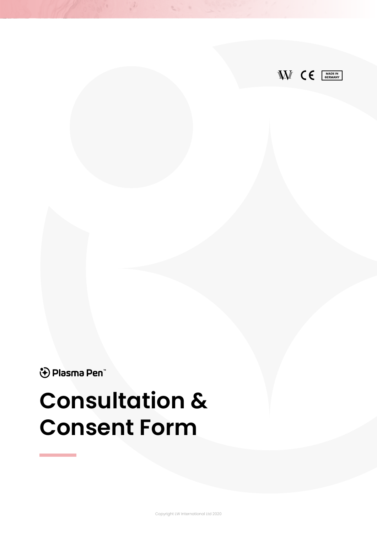

↔ Plasma Pen

# **Consultation & Consent Form**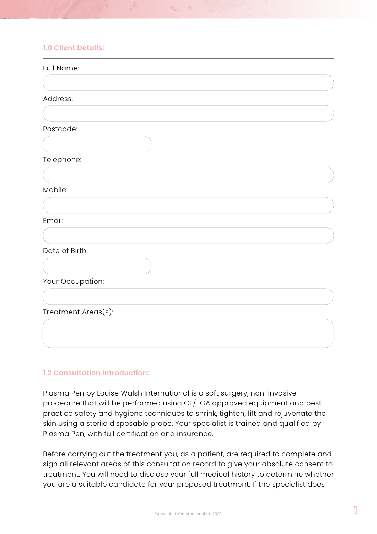## **1.0 Client Details:**

| Full Name:          |  |
|---------------------|--|
|                     |  |
| Address:            |  |
|                     |  |
| Postcode:           |  |
|                     |  |
| Telephone:          |  |
|                     |  |
| Mobile:             |  |
|                     |  |
| Email:              |  |
|                     |  |
| Date of Birth:      |  |
|                     |  |
| Your Occupation:    |  |
|                     |  |
| Treatment Areas(s): |  |
|                     |  |
|                     |  |
|                     |  |

 $\mathcal{L}$ 

#### **1.2 Consultation Introduction:**

Plasma Pen by Louise Walsh International is a soft surgery, non-invasive procedure that will be performed using CE/TGA approved equipment and best practice safety and hygiene techniques to shrink, tighten, lift and rejuvenate the skin using a sterile disposable probe. Your specialist is trained and qualified by Plasma Pen, with full certification and insurance.

Before carrying out the treatment you, as a patient, are required to complete and sign all relevant areas of this consultation record to give your absolute consent to treatment. You will need to disclose your full medical history to determine whether you are a suitable candidate for your proposed treatment. If the specialist does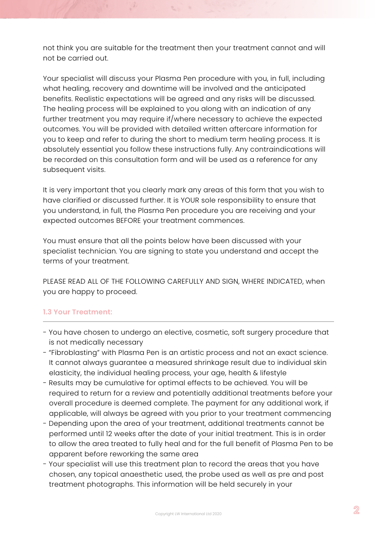not think you are suitable for the treatment then your treatment cannot and will not be carried out.

Your specialist will discuss your Plasma Pen procedure with you, in full, including what healing, recovery and downtime will be involved and the anticipated benefits. Realistic expectations will be agreed and any risks will be discussed. The healing process will be explained to you along with an indication of any further treatment you may require if/where necessary to achieve the expected outcomes. You will be provided with detailed written aftercare information for you to keep and refer to during the short to medium term healing process. It is absolutely essential you follow these instructions fully. Any contraindications will be recorded on this consultation form and will be used as a reference for any subsequent visits.

It is very important that you clearly mark any areas of this form that you wish to have clarified or discussed further. It is YOUR sole responsibility to ensure that you understand, in full, the Plasma Pen procedure you are receiving and your expected outcomes BEFORE your treatment commences.

You must ensure that all the points below have been discussed with your specialist technician. You are signing to state you understand and accept the terms of your treatment.

PLEASE READ ALL OF THE FOLLOWING CAREFULLY AND SIGN, WHERE INDICATED, when you are happy to proceed.

## **1.3 Your Treatment:**

- You have chosen to undergo an elective, cosmetic, soft surgery procedure that is not medically necessary
- "Fibroblasting" with Plasma Pen is an artistic process and not an exact science. It cannot always guarantee a measured shrinkage result due to individual skin elasticity, the individual healing process, your age, health & lifestyle
- Results may be cumulative for optimal effects to be achieved. You will be required to return for a review and potentially additional treatments before your overall procedure is deemed complete. The payment for any additional work, if applicable, will always be agreed with you prior to your treatment commencing
- Depending upon the area of your treatment, additional treatments cannot be performed until 12 weeks after the date of your initial treatment. This is in order to allow the area treated to fully heal and for the full benefit of Plasma Pen to be apparent before reworking the same area
- Your specialist will use this treatment plan to record the areas that you have chosen, any topical anaesthetic used, the probe used as well as pre and post treatment photographs. This information will be held securely in your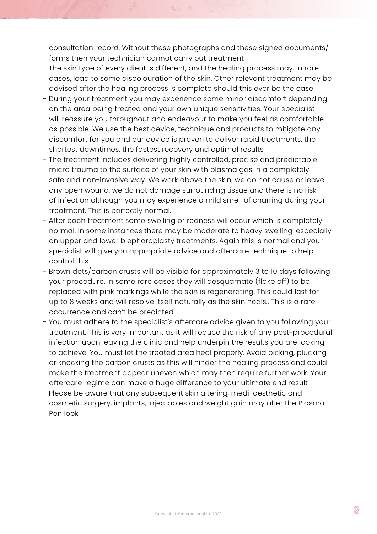consultation record. Without these photographs and these signed documents/ forms then your technician cannot carry out treatment

- The skin type of every client is different, and the healing process may, in rare cases, lead to some discolouration of the skin. Other relevant treatment may be advised after the healing process is complete should this ever be the case
- During your treatment you may experience some minor discomfort depending on the area being treated and your own unique sensitivities. Your specialist will reassure you throughout and endeavour to make you feel as comfortable as possible. We use the best device, technique and products to mitigate any discomfort for you and our device is proven to deliver rapid treatments, the shortest downtimes, the fastest recovery and optimal results
- The treatment includes delivering highly controlled, precise and predictable micro trauma to the surface of your skin with plasma gas in a completely safe and non-invasive way. We work above the skin, we do not cause or leave any open wound, we do not damage surrounding tissue and there is no risk of infection although you may experience a mild smell of charring during your treatment. This is perfectly normal.
- After each treatment some swelling or redness will occur which is completely normal. In some instances there may be moderate to heavy swelling, especially on upper and lower blepharoplasty treatments. Again this is normal and your specialist will give you appropriate advice and aftercare technique to help control this.
- Brown dots/carbon crusts will be visible for approximately 3 to 10 days following your procedure. In some rare cases they will desquamate (flake off) to be replaced with pink markings while the skin is regenerating. This could last for up to 8 weeks and will resolve itself naturally as the skin heals.. This is a rare occurrence and can't be predicted
- You must adhere to the specialist's aftercare advice given to you following your treatment. This is very important as it will reduce the risk of any post-procedural infection upon leaving the clinic and help underpin the results you are looking to achieve. You must let the treated area heal properly. Avoid picking, plucking or knocking the carbon crusts as this will hinder the healing process and could make the treatment appear uneven which may then require further work. Your aftercare regime can make a huge difference to your ultimate end result
- Please be aware that any subsequent skin altering, medi-aesthetic and cosmetic surgery, implants, injectables and weight gain may alter the Plasma Pen look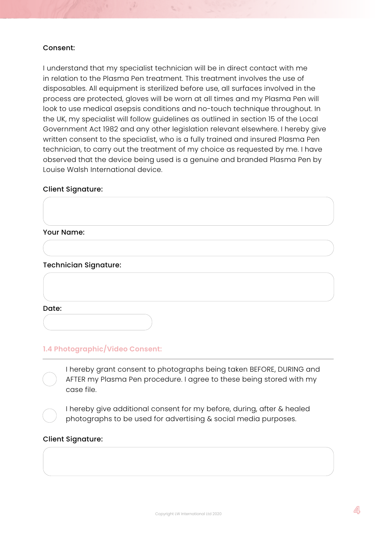#### Consent:

I understand that my specialist technician will be in direct contact with me in relation to the Plasma Pen treatment. This treatment involves the use of disposables. All equipment is sterilized before use, all surfaces involved in the process are protected, gloves will be worn at all times and my Plasma Pen will look to use medical asepsis conditions and no-touch technique throughout. In the UK, my specialist will follow guidelines as outlined in section 15 of the Local Government Act 1982 and any other legislation relevant elsewhere. I hereby give written consent to the specialist, who is a fully trained and insured Plasma Pen technician, to carry out the treatment of my choice as requested by me. I have observed that the device being used is a genuine and branded Plasma Pen by Louise Walsh International device.

 $\mathbb{C}$ 

#### Client Signature:

#### Your Name:

#### Technician Signature:

Date:

#### **1.4 Photographic/Video Consent:**

I hereby grant consent to photographs being taken BEFORE, DURING and AFTER my Plasma Pen procedure. I agree to these being stored with my case file.

I hereby give additional consent for my before, during, after & healed photographs to be used for advertising & social media purposes.

#### Client Signature: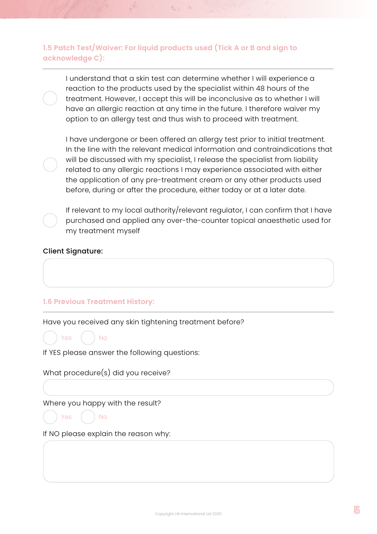**1.5 Patch Test/Waiver: For liquid products used (Tick A or B and sign to acknowledge C):** 

I understand that a skin test can determine whether I will experience a reaction to the products used by the specialist within 48 hours of the treatment. However, I accept this will be inconclusive as to whether I will have an allergic reaction at any time in the future. I therefore waiver my option to an allergy test and thus wish to proceed with treatment.

I have undergone or been offered an allergy test prior to initial treatment. In the line with the relevant medical information and contraindications that will be discussed with my specialist, I release the specialist from liability related to any allergic reactions I may experience associated with either the application of any pre-treatment cream or any other products used before, during or after the procedure, either today or at a later date.

If relevant to my local authority/relevant regulator, I can confirm that I have purchased and applied any over-the-counter topical anaesthetic used for my treatment myself

#### Client Signature:

#### **1.6 Previous Treatment History:**

Have you received any skin tightening treatment before?



If YES please answer the following questions:

What procedure(s) did you receive?

Where you happy with the result?

Yes ( ) No

If NO please explain the reason why: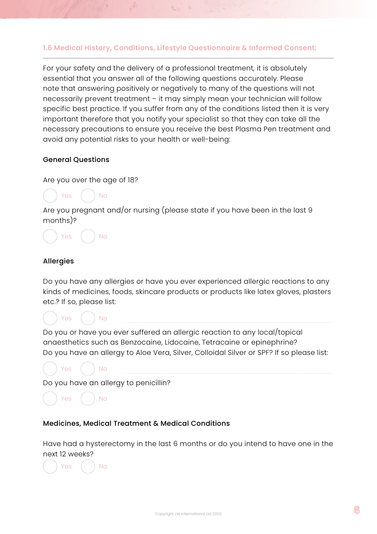#### **1.6 Medical History, Conditions, Lifestyle Questionnaire & Informed Consent:**

For your safety and the delivery of a professional treatment, it is absolutely essential that you answer all of the following questions accurately. Please note that answering positively or negatively to many of the questions will not necessarily prevent treatment – it may simply mean your technician will follow specific best practice. If you suffer from any of the conditions listed then it is very important therefore that you notify your specialist so that they can take all the necessary precautions to ensure you receive the best Plasma Pen treatment and avoid any potential risks to your health or well-being:

#### General Questions

Are you over the age of 18?



Are you pregnant and/or nursing (please state if you have been in the last 9 months)?

Yes ( ) No

#### Allergies

Do you have any allergies or have you ever experienced allergic reactions to any kinds of medicines, foods, skincare products or products like latex gloves, plasters etc.? If so, please list:



Yes ( ) No

Do you or have you ever suffered an allergic reaction to any local/topical anaesthetics such as Benzocaine, Lidocaine, Tetracaine or epinephrine? Do you have an allergy to Aloe Vera, Silver, Colloidal Silver or SPF? If so please list:



Do you have an allergy to penicillin?

```
Yes ( ) No
```
#### Medicines, Medical Treatment & Medical Conditions

Have had a hysterectomy in the last 6 months or do you intend to have one in the next 12 weeks?

Yes ( ) No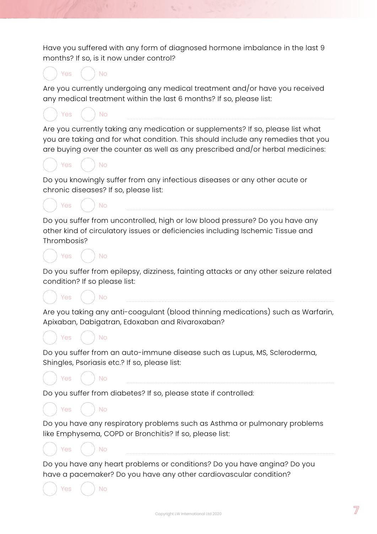Have you suffered with any form of diagnosed hormone imbalance in the last 9 months? If so, is it now under control?



have a pacemaker? Do you have any other cardiovascular condition?

Yes ( ) No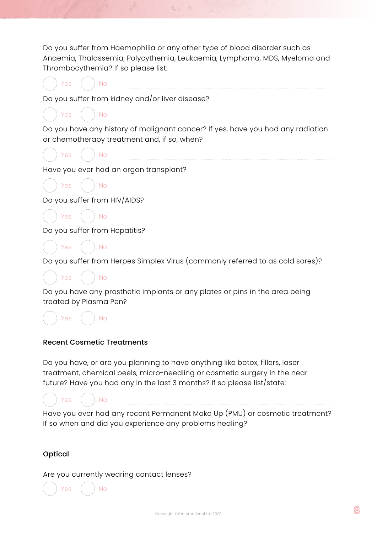Do you suffer from Haemophilia or any other type of blood disorder such as Anaemia, Thalassemia, Polycythemia, Leukaemia, Lymphoma, MDS, Myeloma and Thrombocythemia? If so please list:

Do you suffer from kidney and/or liver disease?

Do you have any history of malignant cancer? If yes, have you had any radiation or chemotherapy treatment and, if so, when?



 $Yes$   $N$ 

Yes ( ) No

Have you ever had an organ transplant?



Do you suffer from HIV/AIDS?

Yes ( ) No

Do you suffer from Hepatitis?



Do you suffer from Herpes Simplex Virus (commonly referred to as cold sores)?



Do you have any prosthetic implants or any plates or pins in the area being treated by Plasma Pen?

Yes ( ) No

## Recent Cosmetic Treatments

Do you have, or are you planning to have anything like botox, fillers, laser treatment, chemical peels, micro-needling or cosmetic surgery in the near future? Have you had any in the last 3 months? If so please list/state:

Yes ( ) No

Yes ( ) No

Have you ever had any recent Permanent Make Up (PMU) or cosmetic treatment? If so when and did you experience any problems healing?

## Optical

Are you currently wearing contact lenses?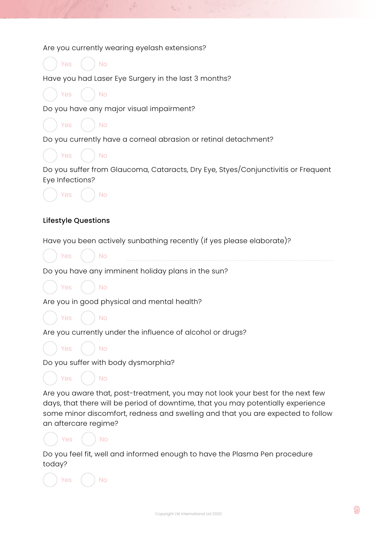Are you currently wearing eyelash extensions?

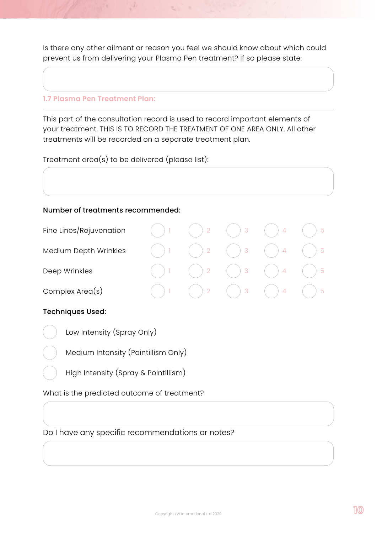Is there any other ailment or reason you feel we should know about which could prevent us from delivering your Plasma Pen treatment? If so please state:

 $\mathcal{C}_{\mathcal{A}}$ 

#### **1.7 Plasma Pen Treatment Plan:**

This part of the consultation record is used to record important elements of your treatment. THIS IS TO RECORD THE TREATMENT OF ONE AREA ONLY. All other treatments will be recorded on a separate treatment plan.

Treatment area(s) to be delivered (please list):

#### Number of treatments recommended:

| Fine Lines/Rejuvenation | $\overline{2}$ | - 3      | -5 |
|-------------------------|----------------|----------|----|
| Medium Depth Wrinkles   | $\frac{1}{2}$  | $\mid$ 3 | -5 |
| Deep Wrinkles           | $\overline{2}$ | 3        | 5  |
| Complex $Area(s)$       |                | -3       | 5  |

#### Techniques Used:

Low Intensity (Spray Only)

Medium Intensity (Pointillism Only)

High Intensity (Spray & Pointillism)

What is the predicted outcome of treatment?

Do I have any specific recommendations or notes?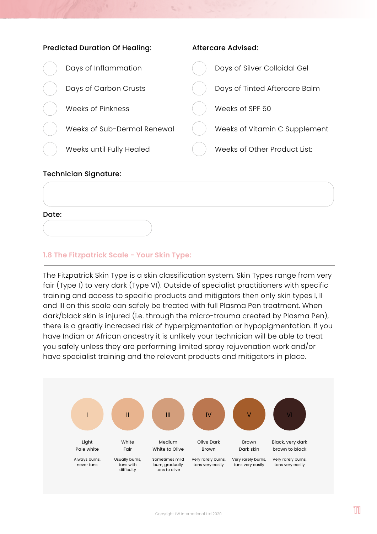

#### **1.8 The Fitzpatrick Scale - Your Skin Type:**

The Fitzpatrick Skin Type is a skin classification system. Skin Types range from very fair (Type I) to very dark (Type VI). Outside of specialist practitioners with specific training and access to specific products and mitigators then only skin types I, II and III on this scale can safely be treated with full Plasma Pen treatment. When dark/black skin is injured (i.e. through the micro-trauma created by Plasma Pen), there is a greatly increased risk of hyperpigmentation or hypopigmentation. If you have Indian or African ancestry it is unlikely your technician will be able to treat you safely unless they are performing limited spray rejuvenation work and/or have specialist training and the relevant products and mitigators in place.

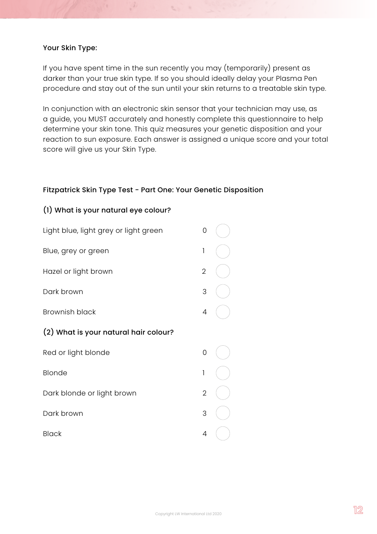#### Your Skin Type:

If you have spent time in the sun recently you may (temporarily) present as darker than your true skin type. If so you should ideally delay your Plasma Pen procedure and stay out of the sun until your skin returns to a treatable skin type.

 $\mathbb{S}^n$  .

In conjunction with an electronic skin sensor that your technician may use, as a guide, you MUST accurately and honestly complete this questionnaire to help determine your skin tone. This quiz measures your genetic disposition and your reaction to sun exposure. Each answer is assigned a unique score and your total score will give us your Skin Type.

#### Fitzpatrick Skin Type Test - Part One: Your Genetic Disposition

#### (1) What is your natural eye colour?

| Light blue, light grey or light green | 0              |  |
|---------------------------------------|----------------|--|
| Blue, grey or green                   | 1              |  |
| Hazel or light brown                  | $\overline{2}$ |  |
| Dark brown                            | 3              |  |
| <b>Brownish black</b>                 | 4              |  |
| (2) What is your natural hair colour? |                |  |
| Red or light blonde                   | 0              |  |
| Blonde                                | 1              |  |
| Dark blonde or light brown            | $\overline{2}$ |  |
| Dark brown                            | 3              |  |
| <b>Black</b>                          | 4              |  |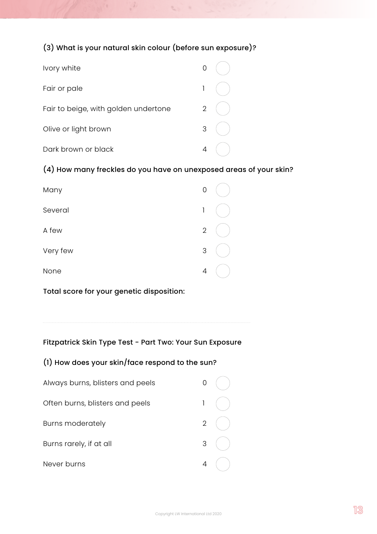## (3) What is your natural skin colour (before sun exposure)?

 $\mathcal{C}_{\mathcal{A}}$  ,

| Ivory white                          |                |  |
|--------------------------------------|----------------|--|
| Fair or pale                         | 1              |  |
| Fair to beige, with golden undertone | $\overline{2}$ |  |
| Olive or light brown                 | 3              |  |
| Dark brown or black                  |                |  |

## (4) How many freckles do you have on unexposed areas of your skin?

| Many     | 0              |  |
|----------|----------------|--|
| Several  | 1              |  |
| A few    | $\overline{2}$ |  |
| Very few | 3              |  |
| None     | $\overline{4}$ |  |

Total score for your genetic disposition:

## Fitzpatrick Skin Type Test - Part Two: Your Sun Exposure

## (1) How does your skin/face respond to the sun?

| Always burns, blisters and peels |              |  |
|----------------------------------|--------------|--|
| Often burns, blisters and peels  | $\mathsf{l}$ |  |
| <b>Burns moderately</b>          | $2^{\circ}$  |  |
| Burns rarely, if at all          | 3            |  |
| Never burns                      |              |  |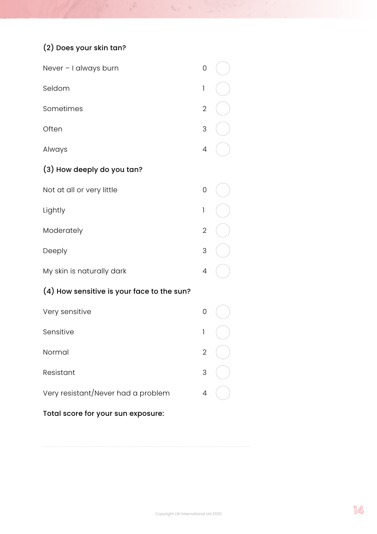# (2) Does your skin tan?

| Never - I always burn                      | 0              |  |
|--------------------------------------------|----------------|--|
| Seldom                                     | 1              |  |
| Sometimes                                  | $\overline{2}$ |  |
| Often                                      | 3              |  |
| Always                                     | 4              |  |
| (3) How deeply do you tan?                 |                |  |
| Not at all or very little                  | 0              |  |
| Lightly                                    | 1              |  |
| Moderately                                 | $\overline{2}$ |  |
| Deeply                                     | 3              |  |
| My skin is naturally dark                  | 4              |  |
| (4) How sensitive is your face to the sun? |                |  |
| Very sensitive                             | 0              |  |
| Sensitive                                  | 1              |  |
| Normal                                     | $\overline{2}$ |  |
| Resistant                                  | 3              |  |
| Very resistant/Never had a problem         | 4              |  |
| Total score for your sun exposure:         |                |  |

 $\frac{3}{2}$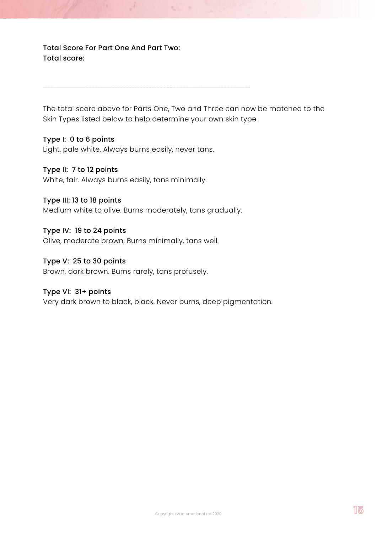Total Score For Part One And Part Two: Total score:

The total score above for Parts One, Two and Three can now be matched to the Skin Types listed below to help determine your own skin type.

 $\mathcal{C}$ 

#### Type I: 0 to 6 points

Light, pale white. Always burns easily, never tans.

#### Type II: 7 to 12 points

White, fair. Always burns easily, tans minimally.

#### Type III: 13 to 18 points

Medium white to olive. Burns moderately, tans gradually.

#### Type IV: 19 to 24 points

Olive, moderate brown, Burns minimally, tans well.

#### Type V: 25 to 30 points

Brown, dark brown. Burns rarely, tans profusely.

#### Type VI: 31+ points

Very dark brown to black, black. Never burns, deep pigmentation.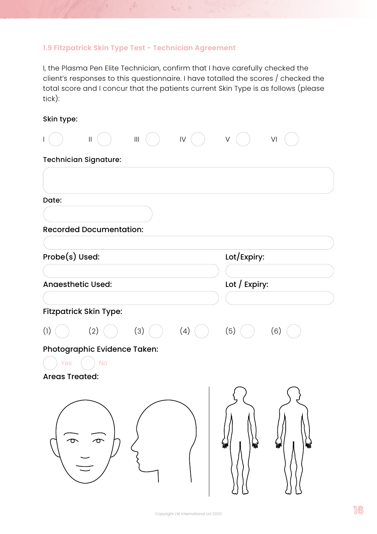## **1.9 Fitzpatrick Skin Type Test - Technician Agreement**

 $\mathcal{I}$ 

I, the Plasma Pen Elite Technician, confirm that I have carefully checked the client's responses to this questionnaire. I have totalled the scores / checked the total score and I concur that the patients current Skin Type is as follows (please tick):

 $\label{eq:2.1} \mathcal{C}_{\alpha,\beta} = 0$ 

| Skin type:                                                                     |               |
|--------------------------------------------------------------------------------|---------------|
| ${\sf IV}$<br>$\ensuremath{\mathsf{III}}\xspace$<br>$\mathop{\rm II}\nolimits$ | $\vee$<br>VI  |
| Technician Signature:                                                          |               |
|                                                                                |               |
|                                                                                |               |
| Date:                                                                          |               |
|                                                                                |               |
| <b>Recorded Documentation:</b>                                                 |               |
| Probe(s) Used:                                                                 | Lot/Expiry:   |
|                                                                                |               |
| <b>Anaesthetic Used:</b>                                                       | Lot / Expiry: |
|                                                                                |               |
| Fitzpatrick Skin Type:                                                         |               |
| (1)<br>(2)<br>(3)<br>(4)                                                       | (5)<br>(6)    |
| Photographic Evidence Taken:                                                   |               |
| Yes<br><b>No</b>                                                               |               |
| <b>Areas Treated:</b>                                                          |               |
|                                                                                |               |
| $\bm{\sigma}$                                                                  |               |